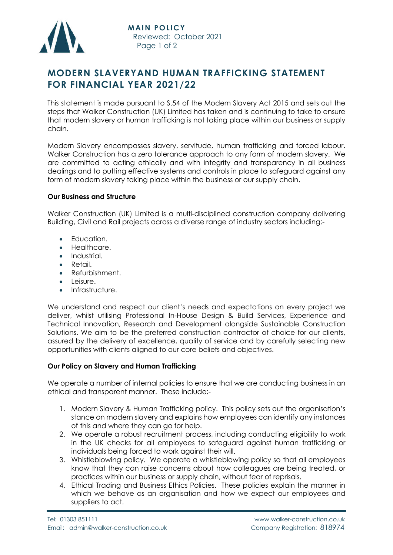

# **MODERN SLAVERYAND HUMAN TRAFFICKING STATEMENT FOR FINANCIAL YEAR 2021/22**

This statement is made pursuant to S.54 of the Modern Slavery Act 2015 and sets out the steps that Walker Construction (UK) Limited has taken and is continuing to take to ensure that modern slavery or human trafficking is not taking place within our business or supply chain.

Modern Slavery encompasses slavery, servitude, human trafficking and forced labour. Walker Construction has a zero tolerance approach to any form of modern slavery. We are committed to acting ethically and with integrity and transparency in all business dealings and to putting effective systems and controls in place to safeguard against any form of modern slavery taking place within the business or our supply chain.

#### **Our Business and Structure**

Walker Construction (UK) Limited is a multi-disciplined construction company delivering Building, Civil and Rail projects across a diverse range of industry sectors including:-

- **•** Education.
- Healthcare.
- Industrial.
- Retail.
- Refurbishment.
- Leisure.
- Infrastructure.

We understand and respect our client's needs and expectations on every project we deliver, whilst utilising Professional In-House Design & Build Services, Experience and Technical Innovation, Research and Development alongside Sustainable Construction Solutions. We aim to be the preferred construction contractor of choice for our clients, assured by the delivery of excellence, quality of service and by carefully selecting new opportunities with clients aligned to our core beliefs and objectives.

#### **Our Policy on Slavery and Human Trafficking**

We operate a number of internal policies to ensure that we are conducting business in an ethical and transparent manner. These include:-

- 1. Modern Slavery & Human Trafficking policy. This policy sets out the organisation's stance on modern slavery and explains how employees can identify any instances of this and where they can go for help.
- 2. We operate a robust recruitment process, including conducting eligibility to work in the UK checks for all employees to safeguard against human trafficking or individuals being forced to work against their will.
- 3. Whistleblowing policy. We operate a whistleblowing policy so that all employees know that they can raise concerns about how colleagues are being treated, or practices within our business or supply chain, without fear of reprisals.
- 4. Ethical Trading and Business Ethics Policies. These policies explain the manner in which we behave as an organisation and how we expect our employees and suppliers to act.